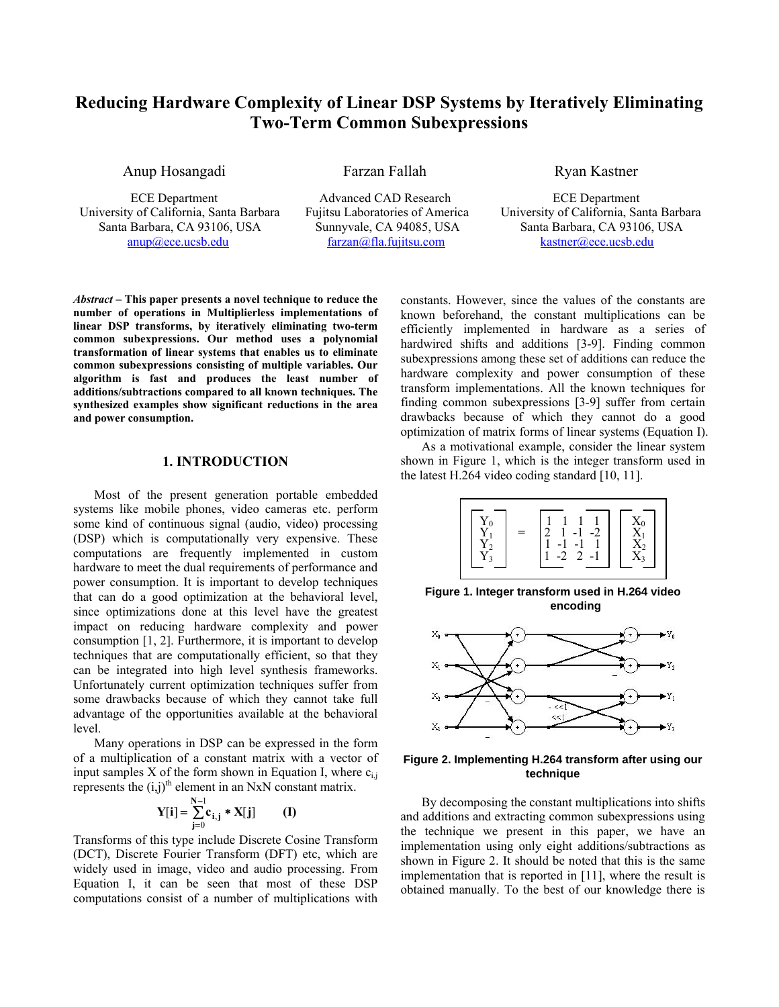# **Reducing Hardware Complexity of Linear DSP Systems by Iteratively Eliminating Two-Term Common Subexpressions**

Anup Hosangadi Farzan Fallah Ryan Kastner

University of California, Santa BarbaraFujitsu Laboratories of AmericaUniversity of California, Santa Barbara Santa Barbara, CA 93106, USASunnyvale, CA 94085, USA Santa Barbara, CA 93106, USA

 ECE Department Advanced CAD Research ECE Department **anup@ece.ucsb.edu farzan@fla.fujitsu.com kastner@ece.ucsb.edu** 

*Abstract* **– This paper presents a novel technique to reduce the number of operations in Multiplierless implementations of linear DSP transforms, by iteratively eliminating two-term common subexpressions. Our method uses a polynomial transformation of linear systems that enables us to eliminate common subexpressions consisting of multiple variables. Our algorithm is fast and produces the least number of additions/subtractions compared to all known techniques. The synthesized examples show significant reductions in the area and power consumption.** 

## **1. INTRODUCTION**

Most of the present generation portable embedded systems like mobile phones, video cameras etc. perform some kind of continuous signal (audio, video) processing (DSP) which is computationally very expensive. These computations are frequently implemented in custom hardware to meet the dual requirements of performance and power consumption. It is important to develop techniques that can do a good optimization at the behavioral level, since optimizations done at this level have the greatest impact on reducing hardware complexity and power consumption [1, 2]. Furthermore, it is important to develop techniques that are computationally efficient, so that they can be integrated into high level synthesis frameworks. Unfortunately current optimization techniques suffer from some drawbacks because of which they cannot take full advantage of the opportunities available at the behavioral level.

 Many operations in DSP can be expressed in the form of a multiplication of a constant matrix with a vector of input samples X of the form shown in Equation I, where  $c_{ij}$ represents the  $(i,j)$ <sup>th</sup> element in an NxN constant matrix.

$$
Y[i] = \sum_{j=0}^{N-1} c_{i,j} * X[j] \qquad (I)
$$

Transforms of this type include Discrete Cosine Transform (DCT), Discrete Fourier Transform (DFT) etc, which are widely used in image, video and audio processing. From Equation I, it can be seen that most of these DSP computations consist of a number of multiplications with constants. However, since the values of the constants are known beforehand, the constant multiplications can be efficiently implemented in hardware as a series of hardwired shifts and additions [3-9]. Finding common subexpressions among these set of additions can reduce the hardware complexity and power consumption of these transform implementations. All the known techniques for finding common subexpressions [3-9] suffer from certain drawbacks because of which they cannot do a good optimization of matrix forms of linear systems (Equation I).

 As a motivational example, consider the linear system shown in Figure 1, which is the integer transform used in the latest H.264 video coding standard [10, 11].



**Figure 1. Integer transform used in H.264 video encoding** 



**Figure 2. Implementing H.264 transform after using our technique** 

 By decomposing the constant multiplications into shifts and additions and extracting common subexpressions using the technique we present in this paper, we have an implementation using only eight additions/subtractions as shown in Figure 2. It should be noted that this is the same implementation that is reported in [11], where the result is obtained manually. To the best of our knowledge there is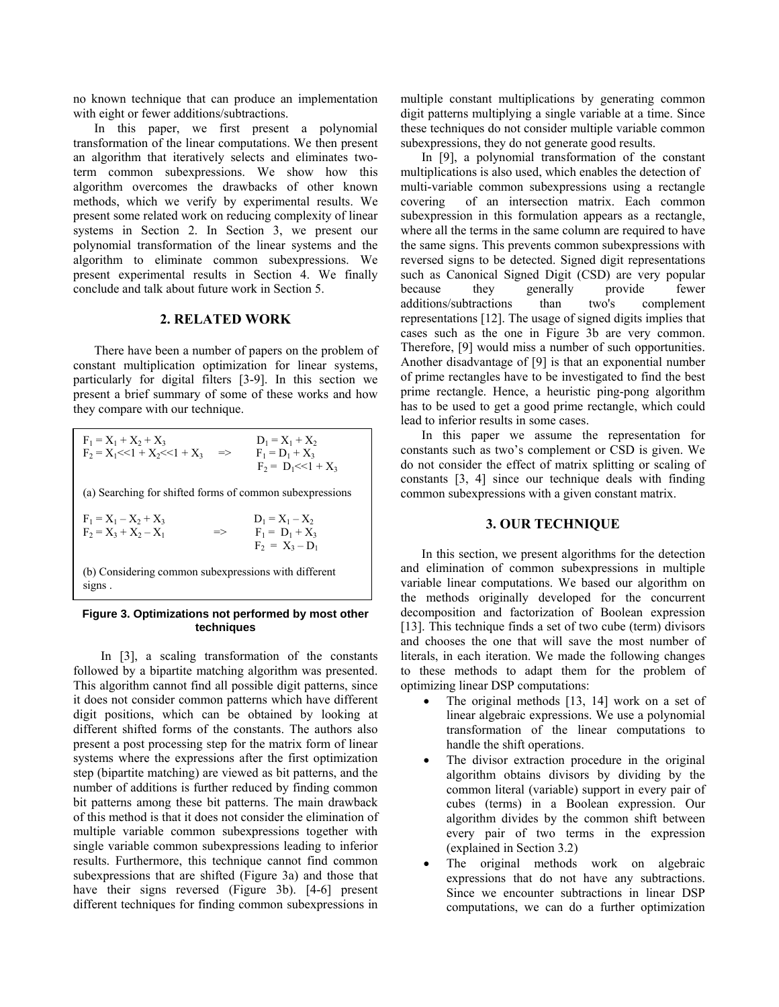no known technique that can produce an implementation with eight or fewer additions/subtractions.

 In this paper, we first present a polynomial transformation of the linear computations. We then present an algorithm that iteratively selects and eliminates twoterm common subexpressions. We show how this algorithm overcomes the drawbacks of other known methods, which we verify by experimental results. We present some related work on reducing complexity of linear systems in Section 2. In Section 3, we present our polynomial transformation of the linear systems and the algorithm to eliminate common subexpressions. We present experimental results in Section 4. We finally conclude and talk about future work in Section 5.

## **2. RELATED WORK**

 There have been a number of papers on the problem of constant multiplication optimization for linear systems, particularly for digital filters [3-9]. In this section we present a brief summary of some of these works and how they compare with our technique.

| $F_1 = X_1 + X_2 + X_3$<br>$F_2 = X_1 \leq 1 + X_2 \leq 1 + X_3$<br>$\Rightarrow$ | $D_1 = X_1 + X_2$<br>$F_1 = D_1 + X_3$<br>$F_2 = D_1 \ll 1 + X_3$ |  |  |  |  |
|-----------------------------------------------------------------------------------|-------------------------------------------------------------------|--|--|--|--|
| (a) Searching for shifted forms of common subexpressions                          |                                                                   |  |  |  |  |
| $F_1 = X_1 - X_2 + X_3$<br>$F_2 = X_3 + X_2 - X_1$<br>$\Rightarrow$               | $D_1 = X_1 - X_2$<br>$F_1 = D_1 + X_3$<br>$F_2 = X_3 - D_1$       |  |  |  |  |
| (b) Considering common subexpressions with different<br>$signs$ .                 |                                                                   |  |  |  |  |

### **Figure 3. Optimizations not performed by most other techniques**

 In [3], a scaling transformation of the constants followed by a bipartite matching algorithm was presented. This algorithm cannot find all possible digit patterns, since it does not consider common patterns which have different digit positions, which can be obtained by looking at different shifted forms of the constants. The authors also present a post processing step for the matrix form of linear systems where the expressions after the first optimization step (bipartite matching) are viewed as bit patterns, and the number of additions is further reduced by finding common bit patterns among these bit patterns. The main drawback of this method is that it does not consider the elimination of multiple variable common subexpressions together with single variable common subexpressions leading to inferior results. Furthermore, this technique cannot find common subexpressions that are shifted (Figure 3a) and those that have their signs reversed (Figure 3b). [4-6] present different techniques for finding common subexpressions in

multiple constant multiplications by generating common digit patterns multiplying a single variable at a time. Since these techniques do not consider multiple variable common subexpressions, they do not generate good results.

 In [9], a polynomial transformation of the constant multiplications is also used, which enables the detection of multi-variable common subexpressions using a rectangle covering of an intersection matrix. Each common subexpression in this formulation appears as a rectangle, where all the terms in the same column are required to have the same signs. This prevents common subexpressions with reversed signs to be detected. Signed digit representations such as Canonical Signed Digit (CSD) are very popular because they generally provide fewer additions/subtractions than two's complement representations [12]. The usage of signed digits implies that cases such as the one in Figure 3b are very common. Therefore, [9] would miss a number of such opportunities. Another disadvantage of [9] is that an exponential number of prime rectangles have to be investigated to find the best prime rectangle. Hence, a heuristic ping-pong algorithm has to be used to get a good prime rectangle, which could lead to inferior results in some cases.

 In this paper we assume the representation for constants such as two's complement or CSD is given. We do not consider the effect of matrix splitting or scaling of constants [3, 4] since our technique deals with finding common subexpressions with a given constant matrix.

## **3. OUR TECHNIQUE**

 In this section, we present algorithms for the detection and elimination of common subexpressions in multiple variable linear computations. We based our algorithm on the methods originally developed for the concurrent decomposition and factorization of Boolean expression [13]. This technique finds a set of two cube (term) divisors and chooses the one that will save the most number of literals, in each iteration. We made the following changes to these methods to adapt them for the problem of optimizing linear DSP computations:

- The original methods [13, 14] work on a set of linear algebraic expressions. We use a polynomial transformation of the linear computations to handle the shift operations.
- The divisor extraction procedure in the original algorithm obtains divisors by dividing by the common literal (variable) support in every pair of cubes (terms) in a Boolean expression. Our algorithm divides by the common shift between every pair of two terms in the expression (explained in Section 3.2)
- The original methods work on algebraic expressions that do not have any subtractions. Since we encounter subtractions in linear DSP computations, we can do a further optimization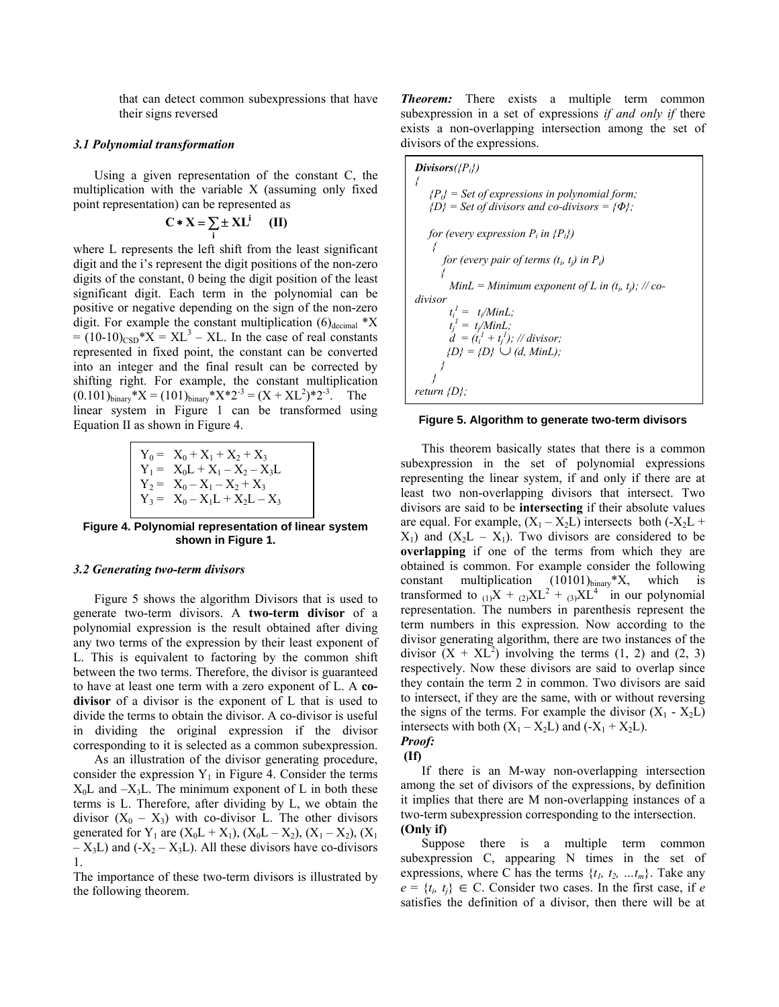that can detect common subexpressions that have their signs reversed

### *3.1 Polynomial transformation*

Using a given representation of the constant C, the multiplication with the variable X (assuming only fixed point representation) can be represented as

$$
C \ast X = \sum_{i} \pm X L^{i} \quad (II)
$$

where L represents the left shift from the least significant digit and the i's represent the digit positions of the non-zero digits of the constant, 0 being the digit position of the least significant digit. Each term in the polynomial can be positive or negative depending on the sign of the non-zero digit. For example the constant multiplication  $(6)_{\text{decimal}}$  \*X  $= (10{\text -}10)_{\text{CSD}}$ \* $X = XL^3 - XL$ . In the case of real constants represented in fixed point, the constant can be converted into an integer and the final result can be corrected by shifting right. For example, the constant multiplication  $(0.101)_{\text{binary}}$  \*X =  $(101)_{\text{binary}}$  \*X \*2<sup>-3</sup> =  $(X + XL^2)$  \*2<sup>-3</sup>. The linear system in Figure 1 can be transformed using Equation II as shown in Figure 4.

| $Y_0 = X_0 + X_1 + X_2 + X_3$   |
|---------------------------------|
| $Y_1 = X_0L + X_1 - X_2 - X_3L$ |
| $Y_2 = X_0 - X_1 - X_2 + X_3$   |
| $Y_3 = X_0 - X_1L + X_2L - X_3$ |

**Figure 4. Polynomial representation of linear system shown in Figure 1.** 

#### *3.2 Generating two-term divisors*

 Figure 5 shows the algorithm Divisors that is used to generate two-term divisors. A **two-term divisor** of a polynomial expression is the result obtained after diving any two terms of the expression by their least exponent of L. This is equivalent to factoring by the common shift between the two terms. Therefore, the divisor is guaranteed to have at least one term with a zero exponent of L. A **codivisor** of a divisor is the exponent of L that is used to divide the terms to obtain the divisor. A co-divisor is useful in dividing the original expression if the divisor corresponding to it is selected as a common subexpression.

 As an illustration of the divisor generating procedure, consider the expression  $Y_1$  in Figure 4. Consider the terms  $X_0L$  and  $-X_3L$ . The minimum exponent of L in both these terms is L. Therefore, after dividing by L, we obtain the divisor  $(X_0 - X_3)$  with co-divisor L. The other divisors generated for Y<sub>1</sub> are  $(X_0L + X_1)$ ,  $(X_0L - X_2)$ ,  $(X_1 - X_2)$ ,  $(X_1$  $-X_3L$ ) and ( $-X_2-X_3L$ ). All these divisors have co-divisors 1.

The importance of these two-term divisors is illustrated by the following theorem.

*Theorem:* There exists a multiple term common subexpression in a set of expressions *if and only if* there exists a non-overlapping intersection among the set of divisors of the expressions.



### **Figure 5. Algorithm to generate two-term divisors**

 This theorem basically states that there is a common subexpression in the set of polynomial expressions representing the linear system, if and only if there are at least two non-overlapping divisors that intersect. Two divisors are said to be **intersecting** if their absolute values are equal. For example,  $(X_1 - X_2L)$  intersects both  $(-X_2L +$  $X_1$ ) and  $(X_2L - X_1)$ . Two divisors are considered to be **overlapping** if one of the terms from which they are obtained is common. For example consider the following constant multiplication  $(10101)_{\text{binary}}$  \*X, which is transformed to  $_{(1)}X +_{(2)}XL^2 +_{(3)}XL^4$  in our polynomial representation. The numbers in parenthesis represent the term numbers in this expression. Now according to the divisor generating algorithm, there are two instances of the divisor  $(X + XL^2)$  involving the terms (1, 2) and (2, 3) respectively. Now these divisors are said to overlap since they contain the term 2 in common. Two divisors are said to intersect, if they are the same, with or without reversing the signs of the terms. For example the divisor  $(X_1 - X_2L)$ intersects with both  $(X_1 - X_2L)$  and  $(-X_1 + X_2L)$ .

## *Proof:*

**(If)** 

If there is an M-way non-overlapping intersection among the set of divisors of the expressions, by definition it implies that there are M non-overlapping instances of a two-term subexpression corresponding to the intersection.

## **(Only if)**

 Suppose there is a multiple term common subexpression C, appearing N times in the set of expressions, where C has the terms  $\{t_1, t_2, \ldots, t_m\}$ . Take any  $e = \{t_i, t_j\} \in \mathbb{C}$ . Consider two cases. In the first case, if *e* satisfies the definition of a divisor, then there will be at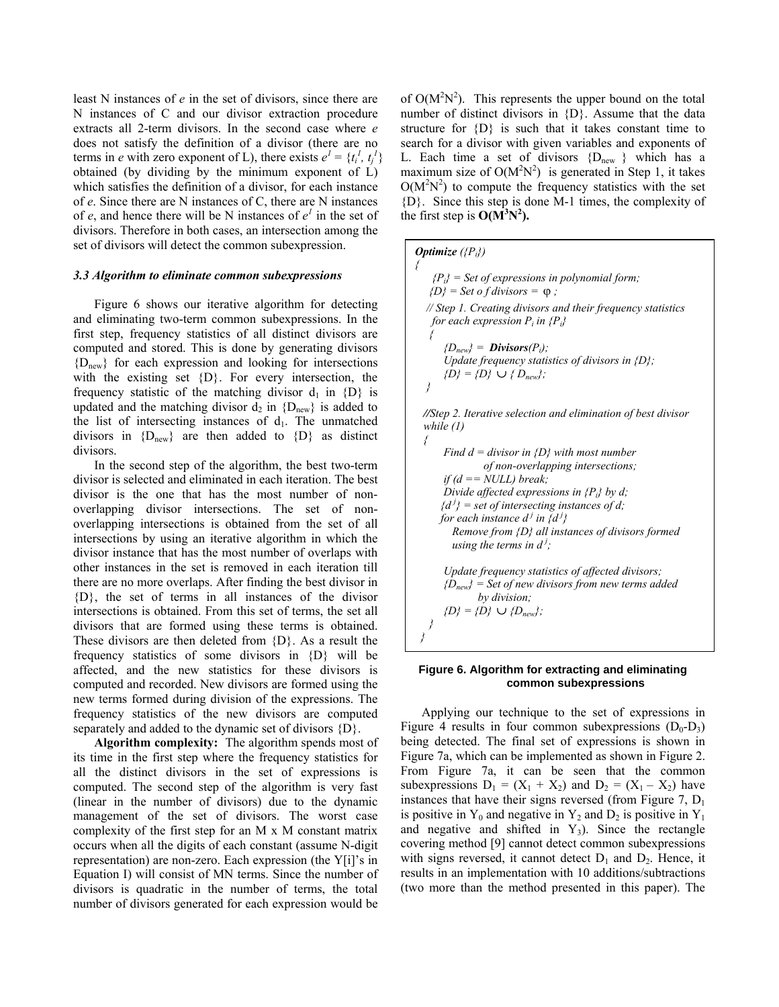least N instances of *e* in the set of divisors, since there are N instances of C and our divisor extraction procedure extracts all 2-term divisors. In the second case where *e*  does not satisfy the definition of a divisor (there are no terms in *e* with zero exponent of L), there exists  $e^1 = \{t_i^1, t_j^1\}$ obtained (by dividing by the minimum exponent of L) which satisfies the definition of a divisor, for each instance of *e*. Since there are N instances of C, there are N instances of *e*, and hence there will be N instances of  $e^1$  in the set of divisors. Therefore in both cases, an intersection among the set of divisors will detect the common subexpression.

### *3.3 Algorithm to eliminate common subexpressions*

Figure 6 shows our iterative algorithm for detecting and eliminating two-term common subexpressions. In the first step, frequency statistics of all distinct divisors are computed and stored. This is done by generating divisors  ${D_{\text{new}}}$  for each expression and looking for intersections with the existing set  ${D}$ . For every intersection, the frequency statistic of the matching divisor  $d_1$  in  $\{D\}$  is updated and the matching divisor  $d_2$  in  $\{D_{new}\}\$ is added to the list of intersecting instances of  $d_1$ . The unmatched divisors in  ${D_{\text{new}}}$  are then added to  ${D}$  as distinct divisors.

 In the second step of the algorithm, the best two-term divisor is selected and eliminated in each iteration. The best divisor is the one that has the most number of nonoverlapping divisor intersections. The set of nonoverlapping intersections is obtained from the set of all intersections by using an iterative algorithm in which the divisor instance that has the most number of overlaps with other instances in the set is removed in each iteration till there are no more overlaps. After finding the best divisor in {D}, the set of terms in all instances of the divisor intersections is obtained. From this set of terms, the set all divisors that are formed using these terms is obtained. These divisors are then deleted from {D}. As a result the frequency statistics of some divisors in {D} will be affected, and the new statistics for these divisors is computed and recorded. New divisors are formed using the new terms formed during division of the expressions. The frequency statistics of the new divisors are computed separately and added to the dynamic set of divisors {D}.

**Algorithm complexity:** The algorithm spends most of its time in the first step where the frequency statistics for all the distinct divisors in the set of expressions is computed. The second step of the algorithm is very fast (linear in the number of divisors) due to the dynamic management of the set of divisors. The worst case complexity of the first step for an M x M constant matrix occurs when all the digits of each constant (assume N-digit representation) are non-zero. Each expression (the Y[i]'s in Equation I) will consist of MN terms. Since the number of divisors is quadratic in the number of terms, the total number of divisors generated for each expression would be

of  $O(M^2N^2)$ . This represents the upper bound on the total number of distinct divisors in {D}. Assume that the data structure for  ${D}$  is such that it takes constant time to search for a divisor with given variables and exponents of L. Each time a set of divisors  ${D_{\text{new}}}$  which has a maximum size of  $O(M^2N^2)$  is generated in Step 1, it takes  $O(M^2N^2)$  to compute the frequency statistics with the set {D}. Since this step is done M-1 times, the complexity of the first step is  $O(M^3N^2)$ .

| <b>Optimize</b> $(\{P_i\})$                                                                                                                                       |
|-------------------------------------------------------------------------------------------------------------------------------------------------------------------|
|                                                                                                                                                                   |
| ${P_i} = Set$ of expressions in polynomial form;<br>$\{D\}$ = Set o f divisors = $\varphi$ ;                                                                      |
| // Step 1. Creating divisors and their frequency statistics<br>for each expression $P_i$ in $\{P_i\}$                                                             |
| $\{D_{new}\} = \text{Divisors}(P_i)$ ;<br>Update frequency statistics of divisors in $\{D\}$ ;<br>$\{D\} = \{D\} \cup \{D_{new}\};$<br>$\boldsymbol{\mathcal{Y}}$ |
| //Step 2. Iterative selection and elimination of best divisor<br>while $(1)$                                                                                      |
| ł<br>Find $d = divisor in \{D\}$ with most number                                                                                                                 |
| of non-overlapping intersections;                                                                                                                                 |
| if $(d == NULL)$ break;                                                                                                                                           |
| Divide affected expressions in ${P_i}$ by d;                                                                                                                      |
| ${dj}$ = set of intersecting instances of d;                                                                                                                      |
| for each instance $d^j$ in $\{d^j\}$                                                                                                                              |
| Remove from {D} all instances of divisors formed<br>using the terms in $d^j$ .                                                                                    |
| Update frequency statistics of affected divisors;                                                                                                                 |
| ${D_{new}}$ = Set of new divisors from new terms added                                                                                                            |
| by division;                                                                                                                                                      |
| $\{D\} = \{D\} \cup \{D_{new}\};$                                                                                                                                 |
| $\boldsymbol{\mathcal{J}}$                                                                                                                                        |

### **Figure 6. Algorithm for extracting and eliminating common subexpressions**

 Applying our technique to the set of expressions in Figure 4 results in four common subexpressions  $(D_0-D_3)$ being detected. The final set of expressions is shown in Figure 7a, which can be implemented as shown in Figure 2. From Figure 7a, it can be seen that the common subexpressions  $D_1 = (X_1 + X_2)$  and  $D_2 = (X_1 - X_2)$  have instances that have their signs reversed (from Figure 7,  $D_1$ is positive in  $Y_0$  and negative in  $Y_2$  and  $D_2$  is positive in  $Y_1$ and negative and shifted in  $Y_3$ ). Since the rectangle covering method [9] cannot detect common subexpressions with signs reversed, it cannot detect  $D_1$  and  $D_2$ . Hence, it results in an implementation with 10 additions/subtractions (two more than the method presented in this paper). The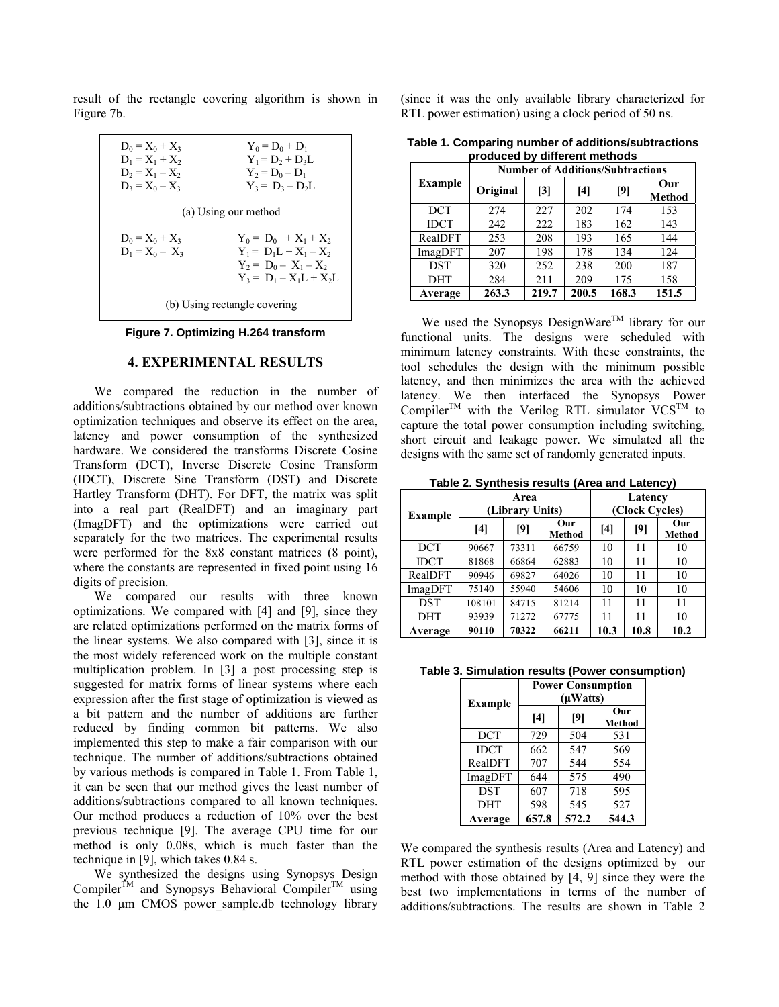result of the rectangle covering algorithm is shown in Figure 7b.



**Figure 7. Optimizing H.264 transform** 

### **4. EXPERIMENTAL RESULTS**

 We compared the reduction in the number of additions/subtractions obtained by our method over known optimization techniques and observe its effect on the area, latency and power consumption of the synthesized hardware. We considered the transforms Discrete Cosine Transform (DCT), Inverse Discrete Cosine Transform (IDCT), Discrete Sine Transform (DST) and Discrete Hartley Transform (DHT). For DFT, the matrix was split into a real part (RealDFT) and an imaginary part (ImagDFT) and the optimizations were carried out separately for the two matrices. The experimental results were performed for the 8x8 constant matrices (8 point), where the constants are represented in fixed point using 16 digits of precision.

 We compared our results with three known optimizations. We compared with [4] and [9], since they are related optimizations performed on the matrix forms of the linear systems. We also compared with [3], since it is the most widely referenced work on the multiple constant multiplication problem. In [3] a post processing step is suggested for matrix forms of linear systems where each expression after the first stage of optimization is viewed as a bit pattern and the number of additions are further reduced by finding common bit patterns. We also implemented this step to make a fair comparison with our technique. The number of additions/subtractions obtained by various methods is compared in Table 1. From Table 1, it can be seen that our method gives the least number of additions/subtractions compared to all known techniques. Our method produces a reduction of 10% over the best previous technique [9]. The average CPU time for our method is only 0.08s, which is much faster than the technique in [9], which takes 0.84 s.

 We synthesized the designs using Synopsys Design Compiler<sup>TM</sup> and Synopsys Behavioral Compiler<sup>TM</sup> using the 1.0 µm CMOS power\_sample.db technology library (since it was the only available library characterized for RTL power estimation) using a clock period of 50 ns.

**Table 1. Comparing number of additions/subtractions produced by different methods** 

|             | <b>Number of Additions/Subtractions</b> |                   |       |       |                      |  |
|-------------|-----------------------------------------|-------------------|-------|-------|----------------------|--|
| Example     | Original                                | $\lceil 3 \rceil$ | [4]   | [9]   | Our<br><b>Method</b> |  |
| <b>DCT</b>  | 274                                     | 227               | 202   | 174   | 153                  |  |
| <b>IDCT</b> | 242                                     | 222               | 183   | 162   | 143                  |  |
| RealDFT     | 253                                     | 208               | 193   | 165   | 144                  |  |
| ImagDFT     | 207                                     | 198               | 178   | 134   | 124                  |  |
| <b>DST</b>  | 320                                     | 252               | 238   | 200   | 187                  |  |
| <b>DHT</b>  | 284                                     | 211               | 209   | 175   | 158                  |  |
| Average     | 263.3                                   | 219.7             | 200.5 | 168.3 | 151.5                |  |

We used the Synopsys DesignWare<sup>TM</sup> library for our functional units. The designs were scheduled with minimum latency constraints. With these constraints, the tool schedules the design with the minimum possible latency, and then minimizes the area with the achieved latency. We then interfaced the Synopsys Power Compiler<sup>TM</sup> with the Verilog RTL simulator  $VCS^{TM}$  to capture the total power consumption including switching, short circuit and leakage power. We simulated all the designs with the same set of randomly generated inputs.

**Table 2. Synthesis results (Area and Latency)** 

| <b>Example</b> | Area<br>(Library Units) |       |                      | Latency<br>(Clock Cycles) |      |                      |
|----------------|-------------------------|-------|----------------------|---------------------------|------|----------------------|
|                | [4]                     | [9]   | Our<br><b>Method</b> | [4]                       | 191  | Our<br><b>Method</b> |
| <b>DCT</b>     | 90667                   | 73311 | 66759                | 10                        | 11   | 10                   |
| <b>IDCT</b>    | 81868                   | 66864 | 62883                | 10                        | 11   | 10                   |
| RealDFT        | 90946                   | 69827 | 64026                | 10                        | 11   | 10                   |
| ImagDFT        | 75140                   | 55940 | 54606                | 10                        | 10   | 10                   |
| <b>DST</b>     | 108101                  | 84715 | 81214                | 11                        | 11   | 11                   |
| <b>DHT</b>     | 93939                   | 71272 | 67775                | 11                        | 11   | 10                   |
| Average        | 90110                   | 70322 | 66211                | 10.3                      | 10.8 | 10.2                 |

**Table 3. Simulation results (Power consumption)** 

| Example     |       | <b>Power Consumption</b><br>(µWatts) |                      |  |  |
|-------------|-------|--------------------------------------|----------------------|--|--|
|             | [4]   | [9]                                  | Our<br><b>Method</b> |  |  |
| <b>DCT</b>  | 729   | 504                                  | 531                  |  |  |
| <b>IDCT</b> | 662   | 547                                  | 569                  |  |  |
| RealDFT     | 707   | 544                                  | 554                  |  |  |
| ImagDFT     | 644   | 575                                  | 490                  |  |  |
| <b>DST</b>  | 607   | 718                                  | 595                  |  |  |
| <b>DHT</b>  | 598   | 545                                  | 527                  |  |  |
| Average     | 657.8 | 572.2                                | 544.3                |  |  |

We compared the synthesis results (Area and Latency) and RTL power estimation of the designs optimized by our method with those obtained by [4, 9] since they were the best two implementations in terms of the number of additions/subtractions. The results are shown in Table 2